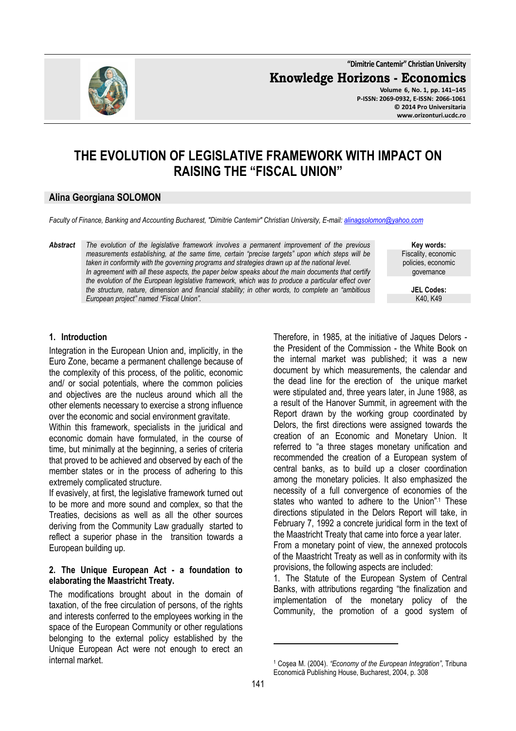**"Dimitrie Cantemir" Christian University**

**Knowledge Horizons - Economics**

**Volume 6, No. 1, pp. 141–145 P-ISSN: 2069-0932, E-ISSN: 2066-1061 © 2014 Pro Universitaria www.orizonturi.ucdc.ro**

# **THE EVOLUTION OF LEGISLATIVE FRAMEWORK WITH IMPACT ON RAISING THE "FISCAL UNION"**

### **Alina Georgiana SOLOMON**

*Faculty of Finance, Banking and Accounting Bucharest, "Dimitrie Cantemir" Christian University, E-mail: alinagsolomon@yahoo.com*

*Abstract The evolution of the legislative framework involves a permanent improvement of the previous measurements establishing, at the same time, certain "precise targets" upon which steps will be taken in conformity with the governing programs and strategies drawn up at the national level. In agreement with all these aspects, the paper below speaks about the main documents that certify the evolution of the European legislative framework, which was to produce a particular effect over the structure, nature, dimension and financial stability; in other words, to complete an "ambitious European project" named "Fiscal Union".* 

**Key words:** Fiscality, economic policies, economic governance

> **JEL Codes:** K40, K49

## **1. Introduction**

Integration in the European Union and, implicitly, in the Euro Zone, became a permanent challenge because of the complexity of this process, of the politic, economic and/ or social potentials, where the common policies and objectives are the nucleus around which all the other elements necessary to exercise a strong influence over the economic and social environment gravitate.

Within this framework, specialists in the juridical and economic domain have formulated, in the course of time, but minimally at the beginning, a series of criteria that proved to be achieved and observed by each of the member states or in the process of adhering to this extremely complicated structure.

If evasively, at first, the legislative framework turned out to be more and more sound and complex, so that the Treaties, decisions as well as all the other sources deriving from the Community Law gradually started to reflect a superior phase in the transition towards a European building up.

#### **2. The Unique European Act - a foundation to elaborating the Maastricht Treaty.**

The modifications brought about in the domain of taxation, of the free circulation of persons, of the rights and interests conferred to the employees working in the space of the European Community or other regulations belonging to the external policy established by the Unique European Act were not enough to erect an internal market.

Therefore, in 1985, at the initiative of Jaques Delors the President of the Commission - the White Book on the internal market was published; it was a new document by which measurements, the calendar and the dead line for the erection of the unique market were stipulated and, three years later, in June 1988, as a result of the Hanover Summit, in agreement with the Report drawn by the working group coordinated by Delors, the first directions were assigned towards the creation of an Economic and Monetary Union. It referred to "a three stages monetary unification and recommended the creation of a European system of central banks, as to build up a closer coordination among the monetary policies. It also emphasized the necessity of a full convergence of economies of the states who wanted to adhere to the Union".<sup>1</sup> These directions stipulated in the Delors Report will take, in February 7, 1992 a concrete juridical form in the text of the Maastricht Treaty that came into force a year later.

From a monetary point of view, the annexed protocols of the Maastricht Treaty as well as in conformity with its provisions, the following aspects are included:

1. The Statute of the European System of Central Banks, with attributions regarding "the finalization and implementation of the monetary policy of the Community, the promotion of a good system of

l

<sup>1</sup> Coşea M. (2004). *"Economy of the European Integration"*, Tribuna Economică Publishing House, Bucharest, 2004, p. 308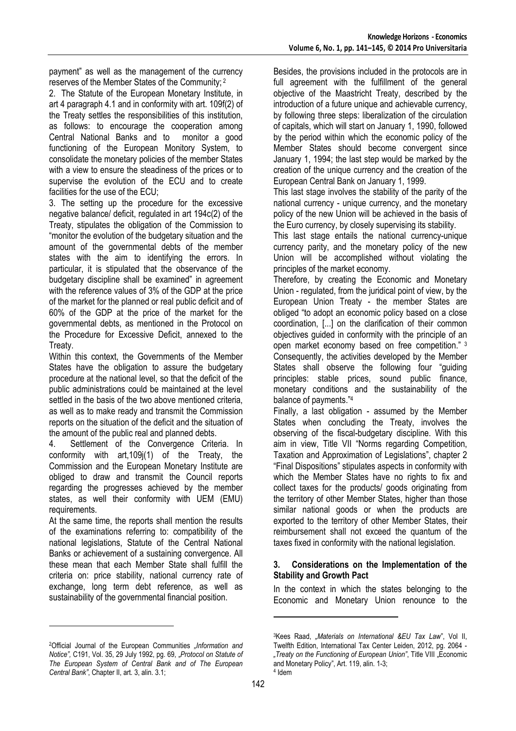payment" as well as the management of the currency reserves of the Member States of the Community; 2

2. The Statute of the European Monetary Institute, in art 4 paragraph 4.1 and in conformity with art. 109f(2) of the Treaty settles the responsibilities of this institution, as follows: to encourage the cooperation among Central National Banks and to monitor a good functioning of the European Monitory System, to consolidate the monetary policies of the member States with a view to ensure the steadiness of the prices or to supervise the evolution of the ECU and to create facilities for the use of the ECU;

3. The setting up the procedure for the excessive negative balance/ deficit, regulated in art 194c(2) of the Treaty, stipulates the obligation of the Commission to "monitor the evolution of the budgetary situation and the amount of the governmental debts of the member states with the aim to identifying the errors. In particular, it is stipulated that the observance of the budgetary discipline shall be examined" in agreement with the reference values of 3% of the GDP at the price of the market for the planned or real public deficit and of 60% of the GDP at the price of the market for the governmental debts, as mentioned in the Protocol on the Procedure for Excessive Deficit, annexed to the Treaty.

Within this context, the Governments of the Member States have the obligation to assure the budgetary procedure at the national level, so that the deficit of the public administrations could be maintained at the level settled in the basis of the two above mentioned criteria, as well as to make ready and transmit the Commission reports on the situation of the deficit and the situation of the amount of the public real and planned debts.

4. Settlement of the Convergence Criteria. In conformity with art,109j(1) of the Treaty, the Commission and the European Monetary Institute are obliged to draw and transmit the Council reports regarding the progresses achieved by the member states, as well their conformity with UEM (EMU) requirements.

At the same time, the reports shall mention the results of the examinations referring to: compatibility of the national legislations, Statute of the Central National Banks or achievement of a sustaining convergence. All these mean that each Member State shall fulfill the criteria on: price stability, national currency rate of exchange, long term debt reference, as well as sustainability of the governmental financial position.

l

Besides, the provisions included in the protocols are in full agreement with the fulfillment of the general objective of the Maastricht Treaty, described by the introduction of a future unique and achievable currency, by following three steps: liberalization of the circulation of capitals, which will start on January 1, 1990, followed by the period within which the economic policy of the Member States should become convergent since January 1, 1994; the last step would be marked by the creation of the unique currency and the creation of the European Central Bank on January 1, 1999.

This last stage involves the stability of the parity of the national currency - unique currency, and the monetary policy of the new Union will be achieved in the basis of the Euro currency, by closely supervising its stability.

This last stage entails the national currency-unique currency parity, and the monetary policy of the new Union will be accomplished without violating the principles of the market economy.

Therefore, by creating the Economic and Monetary Union - regulated, from the juridical point of view, by the European Union Treaty - the member States are obliged "to adopt an economic policy based on a close coordination, [...] on the clarification of their common objectives guided in conformity with the principle of an open market economy based on free competition." 3 Consequently, the activities developed by the Member States shall observe the following four "guiding principles: stable prices, sound public finance, monetary conditions and the sustainability of the balance of payments."<sup>4</sup>

Finally, a last obligation - assumed by the Member States when concluding the Treaty, involves the observing of the fiscal-budgetary discipline. With this aim in view, Title VII "Norms regarding Competition, Taxation and Approximation of Legislations", chapter 2 "Final Dispositions" stipulates aspects in conformity with which the Member States have no rights to fix and collect taxes for the products/ goods originating from the territory of other Member States, higher than those similar national goods or when the products are exported to the territory of other Member States, their reimbursement shall not exceed the quantum of the taxes fixed in conformity with the national legislation.

### **3. Considerations on the Implementation of the Stability and Growth Pact**

In the context in which the states belonging to the Economic and Monetary Union renounce to the

 $\overline{a}$ 

<sup>&</sup>lt;sup>2</sup>Official Journal of the European Communities "Information and *Notice",* C191, Vol. 35, 29 July 1992, pg. 69, "*Protocol on Statute of The European System of Central Bank and of The European Central Bank"*, Chapter II, art. 3, alin. 3.1;

<sup>3</sup>Kees Raad, *"Materials on International &EU Tax Law*", Vol II, Twelfth Edition, International Tax Center Leiden, 2012, pg. 2064 - "*Treaty on the Functioning of European Union*", Title VIII "Economic and Monetary Policy", Art. 119, alin. 1-3; 4 Idem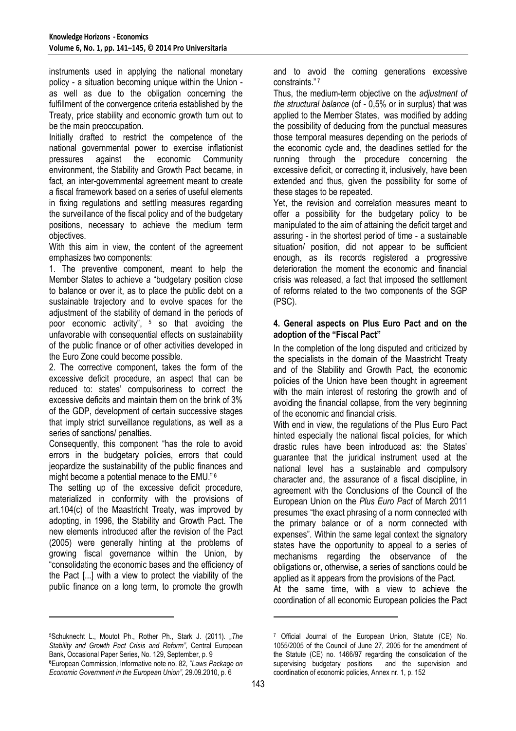instruments used in applying the national monetary policy - a situation becoming unique within the Union as well as due to the obligation concerning the fulfillment of the convergence criteria established by the Treaty, price stability and economic growth turn out to be the main preoccupation.

Initially drafted to restrict the competence of the national governmental power to exercise inflationist pressures against the economic Community environment, the Stability and Growth Pact became, in fact, an inter-governmental agreement meant to create a fiscal framework based on a series of useful elements in fixing regulations and settling measures regarding the surveillance of the fiscal policy and of the budgetary positions, necessary to achieve the medium term objectives.

With this aim in view, the content of the agreement emphasizes two components:

1. The preventive component, meant to help the Member States to achieve a "budgetary position close to balance or over it, as to place the public debt on a sustainable trajectory and to evolve spaces for the adjustment of the stability of demand in the periods of poor economic activity", 5 so that avoiding the unfavorable with consequential effects on sustainability of the public finance or of other activities developed in the Euro Zone could become possible.

2. The corrective component, takes the form of the excessive deficit procedure, an aspect that can be reduced to: states' compulsoriness to correct the excessive deficits and maintain them on the brink of 3% of the GDP, development of certain successive stages that imply strict surveillance regulations, as well as a series of sanctions/ penalties.

Consequently, this component "has the role to avoid errors in the budgetary policies, errors that could jeopardize the sustainability of the public finances and might become a potential menace to the EMU."<sup>6</sup>

The setting up of the excessive deficit procedure, materialized in conformity with the provisions of art.104(c) of the Maastricht Treaty, was improved by adopting, in 1996, the Stability and Growth Pact. The new elements introduced after the revision of the Pact (2005) were generally hinting at the problems of growing fiscal governance within the Union, by "consolidating the economic bases and the efficiency of the Pact [...] with a view to protect the viability of the public finance on a long term, to promote the growth

<sup>5</sup>Schuknecht L., Moutot Ph., Rother Ph., Stark J. (2011). *"The Stability and Growth Pact Crisis and Reform"*, Central European Bank, Occasional Paper Series, No. 129, September, p. 9 <sup>6</sup>European Commission, Informative note no. 82*,* "*Laws Package on* 

 $\overline{a}$ 

*Economic Government in the European Union",* 29.09.2010, p. 6

and to avoid the coming generations excessive constraints."<sup>7</sup>

Thus, the medium-term objective on the *adjustment of the structural balance* (of - 0,5% or in surplus) that was applied to the Member States, was modified by adding the possibility of deducing from the punctual measures those temporal measures depending on the periods of the economic cycle and, the deadlines settled for the running through the procedure concerning the excessive deficit, or correcting it, inclusively, have been extended and thus, given the possibility for some of these stages to be repeated.

Yet, the revision and correlation measures meant to offer a possibility for the budgetary policy to be manipulated to the aim of attaining the deficit target and assuring - in the shortest period of time - a sustainable situation/ position, did not appear to be sufficient enough, as its records registered a progressive deterioration the moment the economic and financial crisis was released, a fact that imposed the settlement of reforms related to the two components of the SGP (PSC).

#### **4. General aspects on Plus Euro Pact and on the adoption of the "Fiscal Pact"**

In the completion of the long disputed and criticized by the specialists in the domain of the Maastricht Treaty and of the Stability and Growth Pact, the economic policies of the Union have been thought in agreement with the main interest of restoring the growth and of avoiding the financial collapse, from the very beginning of the economic and financial crisis.

With end in view, the regulations of the Plus Euro Pact hinted especially the national fiscal policies, for which drastic rules have been introduced as: the States' guarantee that the juridical instrument used at the national level has a sustainable and compulsory character and, the assurance of a fiscal discipline, in agreement with the Conclusions of the Council of the European Union on the *Plus Euro Pact* of March 2011 presumes "the exact phrasing of a norm connected with the primary balance or of a norm connected with expenses". Within the same legal context the signatory states have the opportunity to appeal to a series of mechanisms regarding the observance of the obligations or, otherwise, a series of sanctions could be applied as it appears from the provisions of the Pact.

At the same time, with a view to achieve the coordination of all economic European policies the Pact

 $\overline{a}$ 

<sup>7</sup> Official Journal of the European Union, Statute (CE) No. 1055/2005 of the Council of June 27, 2005 for the amendment of the Statute (CE) no. 1466/97 regarding the consolidation of the supervising budgetary positions and the supervision and supervising budgetary positions coordination of economic policies, Annex nr. 1, p. 152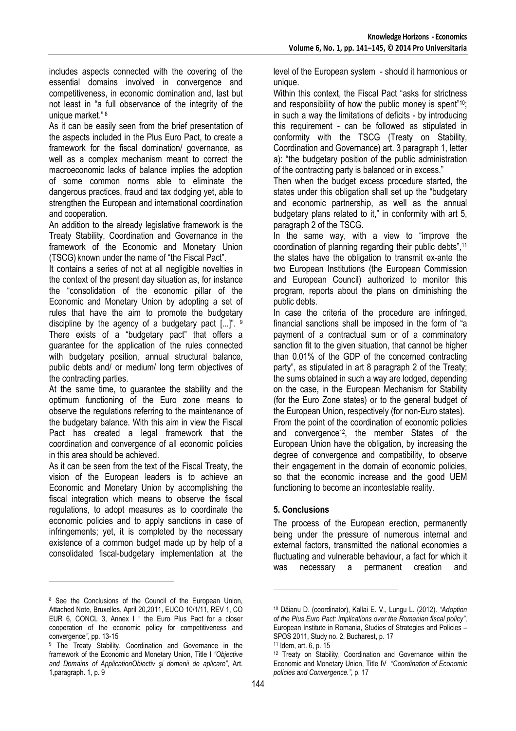includes aspects connected with the covering of the essential domains involved in convergence and competitiveness, in economic domination and, last but not least in "a full observance of the integrity of the unique market."<sup>8</sup>

As it can be easily seen from the brief presentation of the aspects included in the Plus Euro Pact, to create a framework for the fiscal domination/ governance, as well as a complex mechanism meant to correct the macroeconomic lacks of balance implies the adoption of some common norms able to eliminate the dangerous practices, fraud and tax dodging yet, able to strengthen the European and international coordination and cooperation.

An addition to the already legislative framework is the Treaty Stability, Coordination and Governance in the framework of the Economic and Monetary Union (TSCG) known under the name of "the Fiscal Pact".

It contains a series of not at all negligible novelties in the context of the present day situation as, for instance the "consolidation of the economic pillar of the Economic and Monetary Union by adopting a set of rules that have the aim to promote the budgetary discipline by the agency of a budgetary pact [...]". 9 There exists of a "budgetary pact" that offers a guarantee for the application of the rules connected with budgetary position, annual structural balance, public debts and/ or medium/ long term objectives of the contracting parties.

At the same time, to guarantee the stability and the optimum functioning of the Euro zone means to observe the regulations referring to the maintenance of the budgetary balance. With this aim in view the Fiscal Pact has created a legal framework that the coordination and convergence of all economic policies in this area should be achieved.

As it can be seen from the text of the Fiscal Treaty, the vision of the European leaders is to achieve an Economic and Monetary Union by accomplishing the fiscal integration which means to observe the fiscal regulations, to adopt measures as to coordinate the economic policies and to apply sanctions in case of infringements; yet, it is completed by the necessary existence of a common budget made up by help of a consolidated fiscal-budgetary implementation at the

l

level of the European system - should it harmonious or unique.

Within this context, the Fiscal Pact "asks for strictness and responsibility of how the public money is spent" <sup>10</sup>; in such a way the limitations of deficits - by introducing this requirement - can be followed as stipulated in conformity with the TSCG (Treaty on Stability, Coordination and Governance) art. 3 paragraph 1, letter a): "the budgetary position of the public administration of the contracting party is balanced or in excess."

Then when the budget excess procedure started, the states under this obligation shall set up the "budgetary and economic partnership, as well as the annual budgetary plans related to it," in conformity with art 5, paragraph 2 of the TSCG.

In the same way, with a view to "improve the coordination of planning regarding their public debts",<sup>11</sup> the states have the obligation to transmit ex-ante the two European Institutions (the European Commission and European Council) authorized to monitor this program, reports about the plans on diminishing the public debts.

In case the criteria of the procedure are infringed, financial sanctions shall be imposed in the form of "a payment of a contractual sum or of a comminatory sanction fit to the given situation, that cannot be higher than 0.01% of the GDP of the concerned contracting party", as stipulated in art 8 paragraph 2 of the Treaty; the sums obtained in such a way are lodged, depending on the case, in the European Mechanism for Stability (for the Euro Zone states) or to the general budget of the European Union, respectively (for non-Euro states). From the point of the coordination of economic policies

and convergence<sup>12</sup>, the member States of the European Union have the obligation, by increasing the degree of convergence and compatibility, to observe their engagement in the domain of economic policies, so that the economic increase and the good UEM functioning to become an incontestable reality.

# **5. Conclusions**

The process of the European erection, permanently being under the pressure of numerous internal and external factors, transmitted the national economies a fluctuating and vulnerable behaviour, a fact for which it was necessary a permanent creation and

 $\overline{a}$ 

<sup>8</sup> See the Conclusions of the Council of the European Union, Attached Note, Bruxelles, April 20,2011, EUCO 10/1/11, REV 1, CO EUR 6, CONCL 3, Annex I " the Euro Plus Pact for a closer cooperation of the economic policy for competitiveness and convergence*"*, pp. 13-15

<sup>&</sup>lt;sup>9</sup> The Treaty Stability, Coordination and Governance in the framework of the Economic and Monetary Union, Title I *"Objective and Domains of ApplicationObiectiv şi domenii de aplicare"*, Art. 1,paragraph. 1, p. 9

<sup>10</sup> Dăianu D. (coordinator), Kallai E. V., Lungu L. (2012). *"Adoption of the Plus Euro Pact: implications over the Romanian fiscal policy"*, European Institute in Romania, Studies of Strategies and Policies – SPOS 2011, Study no. 2, Bucharest, p. 17

<sup>11</sup> Idem, art. 6, p. 15

<sup>12</sup> Treaty on Stability, Coordination and Governance within the Economic and Monetary Union, Title IV *"Coordination of Economic policies and Convergence."*, p. 17